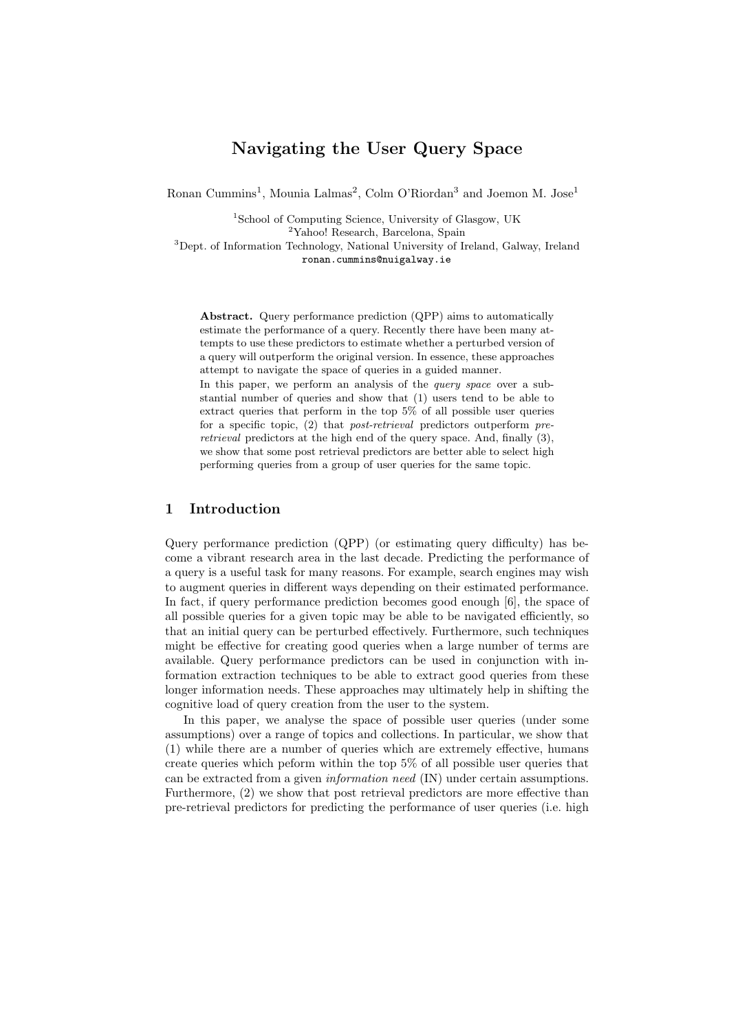# Navigating the User Query Space

Ronan Cummins<sup>1</sup>, Mounia Lalmas<sup>2</sup>, Colm O'Riordan<sup>3</sup> and Joemon M. Jose<sup>1</sup>

 $\begin{array}{c} \text{${}^1$ School of Computing Science, University of Glasgow, UK \\ \text{${}^2$Yahoo! Research, Barcelona, Spain \\ \text{${}^3$ Dept. of Information Technology, National University of Ireland, Galaxy, Ireland \\ \end{array}$ 

ronan.cummins@nuigalway.ie

Abstract. Query performance prediction (QPP) aims to automatically estimate the performance of a query. Recently there have been many attempts to use these predictors to estimate whether a perturbed version of a query will outperform the original version. In essence, these approaches attempt to navigate the space of queries in a guided manner.

In this paper, we perform an analysis of the *query space* over a substantial number of queries and show that (1) users tend to be able to extract queries that perform in the top 5% of all possible user queries for a specific topic, (2) that post-retrieval predictors outperform preretrieval predictors at the high end of the query space. And, finally (3), we show that some post retrieval predictors are better able to select high performing queries from a group of user queries for the same topic.

## 1 Introduction

Query performance prediction (QPP) (or estimating query difficulty) has become a vibrant research area in the last decade. Predicting the performance of a query is a useful task for many reasons. For example, search engines may wish to augment queries in different ways depending on their estimated performance. In fact, if query performance prediction becomes good enough [6], the space of all possible queries for a given topic may be able to be navigated efficiently, so that an initial query can be perturbed effectively. Furthermore, such techniques might be effective for creating good queries when a large number of terms are available. Query performance predictors can be used in conjunction with information extraction techniques to be able to extract good queries from these longer information needs. These approaches may ultimately help in shifting the cognitive load of query creation from the user to the system.

In this paper, we analyse the space of possible user queries (under some assumptions) over a range of topics and collections. In particular, we show that (1) while there are a number of queries which are extremely effective, humans create queries which peform within the top 5% of all possible user queries that can be extracted from a given information need (IN) under certain assumptions. Furthermore, (2) we show that post retrieval predictors are more effective than pre-retrieval predictors for predicting the performance of user queries (i.e. high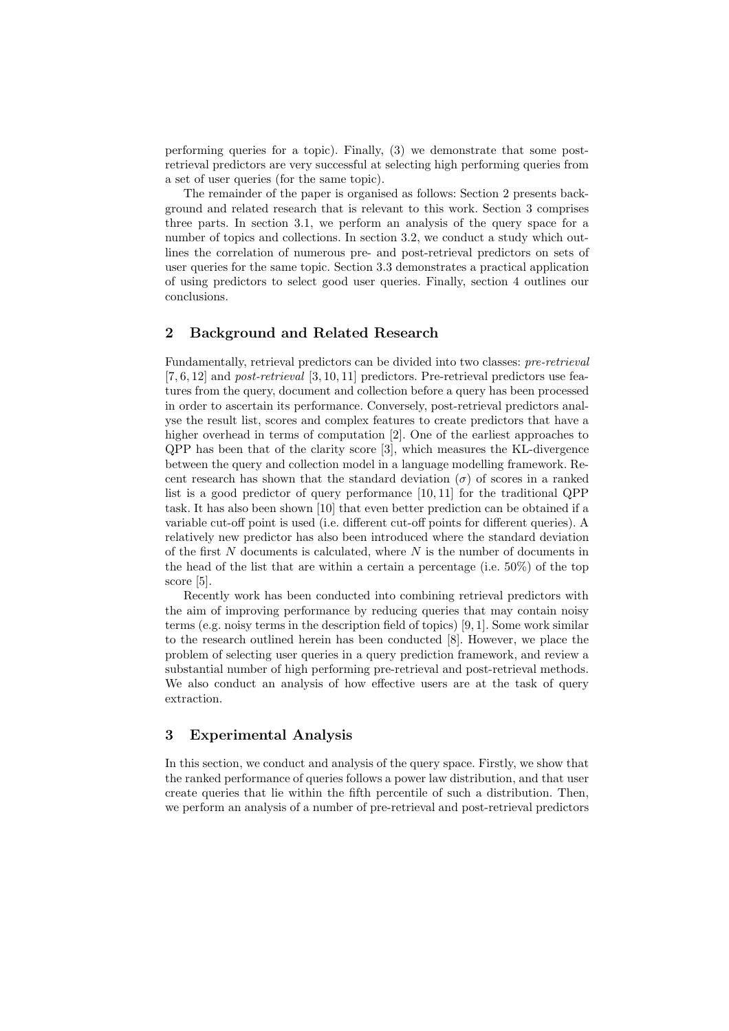performing queries for a topic). Finally, (3) we demonstrate that some postretrieval predictors are very successful at selecting high performing queries from a set of user queries (for the same topic).

The remainder of the paper is organised as follows: Section 2 presents background and related research that is relevant to this work. Section 3 comprises three parts. In section 3.1, we perform an analysis of the query space for a number of topics and collections. In section 3.2, we conduct a study which outlines the correlation of numerous pre- and post-retrieval predictors on sets of user queries for the same topic. Section 3.3 demonstrates a practical application of using predictors to select good user queries. Finally, section 4 outlines our conclusions.

## 2 Background and Related Research

Fundamentally, retrieval predictors can be divided into two classes: pre-retrieval  $[7, 6, 12]$  and *post-retrieval*  $[3, 10, 11]$  predictors. Pre-retrieval predictors use features from the query, document and collection before a query has been processed in order to ascertain its performance. Conversely, post-retrieval predictors analyse the result list, scores and complex features to create predictors that have a higher overhead in terms of computation [2]. One of the earliest approaches to QPP has been that of the clarity score [3], which measures the KL-divergence between the query and collection model in a language modelling framework. Recent research has shown that the standard deviation  $(\sigma)$  of scores in a ranked list is a good predictor of query performance [10, 11] for the traditional QPP task. It has also been shown [10] that even better prediction can be obtained if a variable cut-off point is used (i.e. different cut-off points for different queries). A relatively new predictor has also been introduced where the standard deviation of the first  $N$  documents is calculated, where  $N$  is the number of documents in the head of the list that are within a certain a percentage (i.e. 50%) of the top score [5].

Recently work has been conducted into combining retrieval predictors with the aim of improving performance by reducing queries that may contain noisy terms (e.g. noisy terms in the description field of topics) [9, 1]. Some work similar to the research outlined herein has been conducted [8]. However, we place the problem of selecting user queries in a query prediction framework, and review a substantial number of high performing pre-retrieval and post-retrieval methods. We also conduct an analysis of how effective users are at the task of query extraction.

#### 3 Experimental Analysis

In this section, we conduct and analysis of the query space. Firstly, we show that the ranked performance of queries follows a power law distribution, and that user create queries that lie within the fifth percentile of such a distribution. Then, we perform an analysis of a number of pre-retrieval and post-retrieval predictors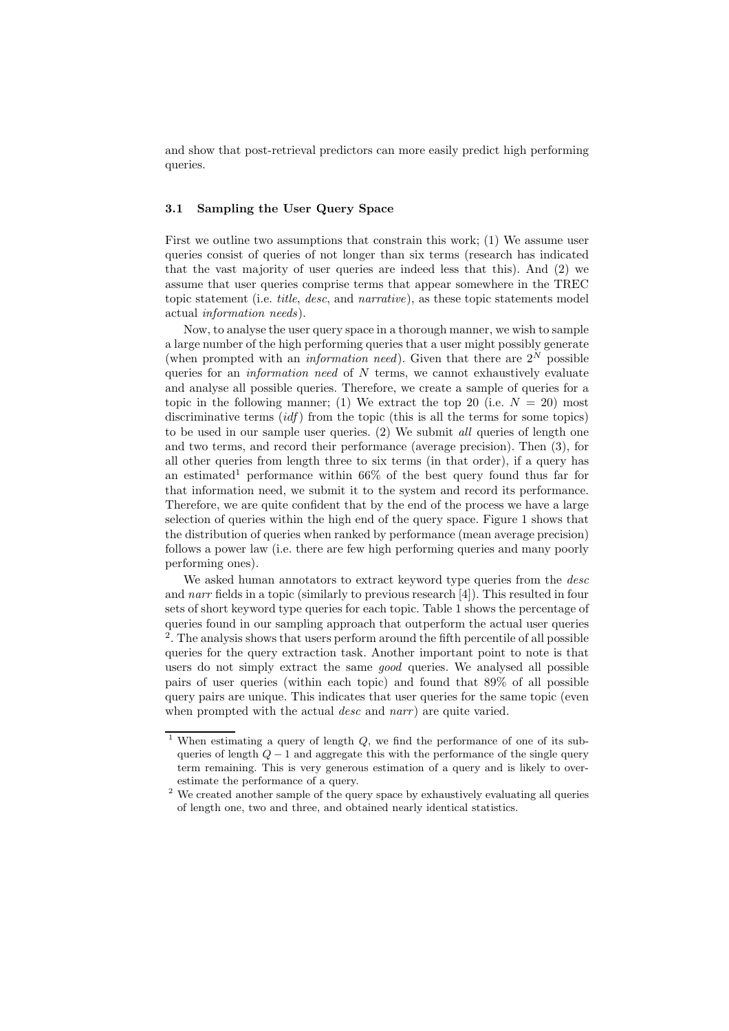and show that post-retrieval predictors can more easily predict high performing queries.

#### 3.1 Sampling the User Query Space

First we outline two assumptions that constrain this work; (1) We assume user queries consist of queries of not longer than six terms (research has indicated that the vast majority of user queries are indeed less that this). And (2) we assume that user queries comprise terms that appear somewhere in the TREC topic statement (i.e. title, desc, and narrative), as these topic statements model actual information needs).

Now, to analyse the user query space in a thorough manner, we wish to sample a large number of the high performing queries that a user might possibly generate (when prompted with an *information need*). Given that there are  $2^N$  possible queries for an *information need* of  $N$  terms, we cannot exhaustively evaluate and analyse all possible queries. Therefore, we create a sample of queries for a topic in the following manner; (1) We extract the top 20 (i.e.  $N = 20$ ) most discriminative terms  $(idf)$  from the topic (this is all the terms for some topics) to be used in our sample user queries. (2) We submit all queries of length one and two terms, and record their performance (average precision). Then (3), for all other queries from length three to six terms (in that order), if a query has an estimated<sup>1</sup> performance within  $66\%$  of the best query found thus far for that information need, we submit it to the system and record its performance. Therefore, we are quite confident that by the end of the process we have a large selection of queries within the high end of the query space. Figure 1 shows that the distribution of queries when ranked by performance (mean average precision) follows a power law (i.e. there are few high performing queries and many poorly performing ones).

We asked human annotators to extract keyword type queries from the *desc* and narr fields in a topic (similarly to previous research  $[4]$ ). This resulted in four sets of short keyword type queries for each topic. Table 1 shows the percentage of queries found in our sampling approach that outperform the actual user queries  $2$ . The analysis shows that users perform around the fifth percentile of all possible queries for the query extraction task. Another important point to note is that users do not simply extract the same good queries. We analysed all possible pairs of user queries (within each topic) and found that 89% of all possible query pairs are unique. This indicates that user queries for the same topic (even when prompted with the actual *desc* and *narr*) are quite varied.

<sup>&</sup>lt;sup>1</sup> When estimating a query of length  $Q$ , we find the performance of one of its subqueries of length  $Q - 1$  and aggregate this with the performance of the single query term remaining. This is very generous estimation of a query and is likely to over-

estimate the performance of a query.  $^{\rm 2}$  We created another sample of the query space by exhaustively evaluating all queries of length one, two and three, and obtained nearly identical statistics.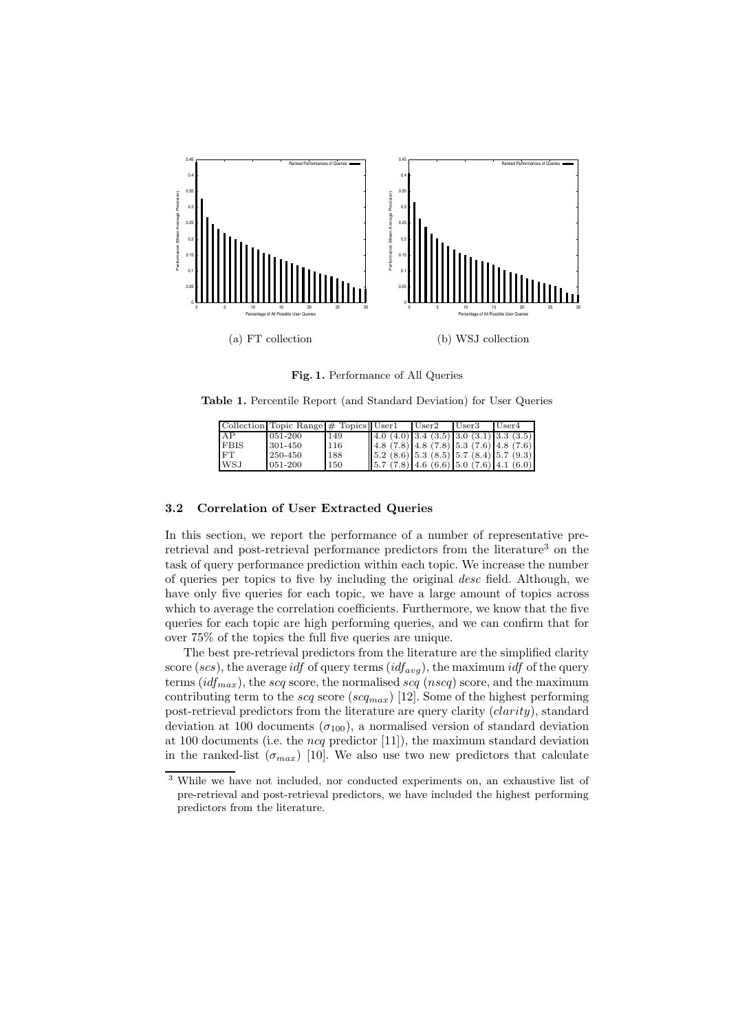

Fig. 1. Performance of All Queries

Table 1. Percentile Report (and Standard Deviation) for User Queries

|             | $\text{Collection}$ Topic Range $\#$ Topics User1 |     |                                                          | User2 | User3 | User4 |
|-------------|---------------------------------------------------|-----|----------------------------------------------------------|-------|-------|-------|
| AP          | 051-200                                           | 149 | $(4.0 (4.0) 3.4 (3.5) 3.0 (3.1) 3.3 (3.5))$              |       |       |       |
| <b>FBIS</b> | 301-450                                           | 116 | $(4.8 (7.8) 4.8 (7.8) 5.3 (7.6) 4.8 (7.6)$               |       |       |       |
| <b>FT</b>   | 250-450                                           | 188 | $\left  5.2 (8.6) 5.3 (8.5) 5.7 (8.4) 5.7 (9.3) \right $ |       |       |       |
| <b>WSJ</b>  | 051-200                                           | 150 | $\left  5.7(7.8) 4.6(6.6) 5.0(7.6) 4.1(6.0) \right $     |       |       |       |

#### 3.2 Correlation of User Extracted Queries

In this section, we report the performance of a number of representative preretrieval and post-retrieval performance predictors from the literature<sup>3</sup> on the task of query performance prediction within each topic. We increase the number of queries per topics to five by including the original desc field. Although, we have only five queries for each topic, we have a large amount of topics across which to average the correlation coefficients. Furthermore, we know that the five queries for each topic are high performing queries, and we can confirm that for over 75% of the topics the full five queries are unique.

The best pre-retrieval predictors from the literature are the simplified clarity score (scs), the average idf of query terms  $(idf_{avg})$ , the maximum idf of the query terms  $(idf_{max})$ , the scq score, the normalised scq (nscq) score, and the maximum contributing term to the scq score  $(sq_{max})$  [12]. Some of the highest performing post-retrieval predictors from the literature are query clarity (clarity), standard deviation at 100 documents  $(\sigma_{100})$ , a normalised version of standard deviation at 100 documents (i.e. the *ncq* predictor  $[11]$ ), the maximum standard deviation in the ranked-list  $(\sigma_{max})$  [10]. We also use two new predictors that calculate

<sup>3</sup> While we have not included, nor conducted experiments on, an exhaustive list of pre-retrieval and post-retrieval predictors, we have included the highest performing predictors from the literature.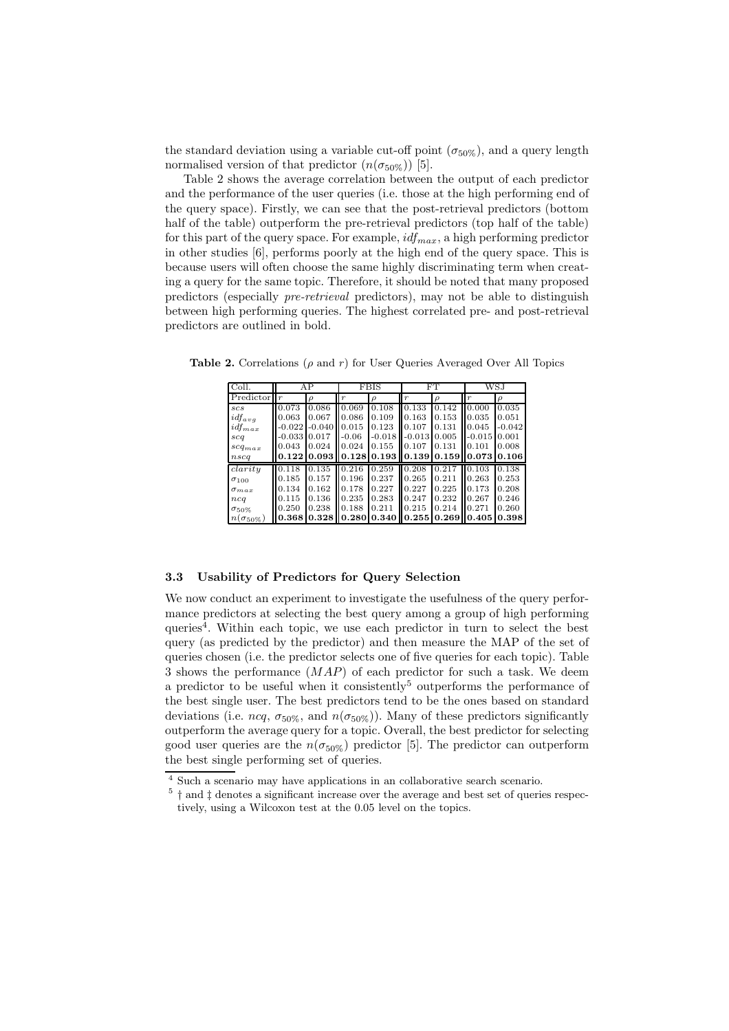the standard deviation using a variable cut-off point  $(\sigma_{50\%})$ , and a query length normalised version of that predictor  $(n(\sigma_{50\%}))$  [5].

Table 2 shows the average correlation between the output of each predictor and the performance of the user queries (i.e. those at the high performing end of the query space). Firstly, we can see that the post-retrieval predictors (bottom half of the table) outperform the pre-retrieval predictors (top half of the table) for this part of the query space. For example,  $idf_{max}$ , a high performing predictor in other studies [6], performs poorly at the high end of the query space. This is because users will often choose the same highly discriminating term when creating a query for the same topic. Therefore, it should be noted that many proposed predictors (especially pre-retrieval predictors), may not be able to distinguish between high performing queries. The highest correlated pre- and post-retrieval predictors are outlined in bold.

| Coll.              | AP               |          | FBIS              |               | FT                |               | WS.J                |               |
|--------------------|------------------|----------|-------------------|---------------|-------------------|---------------|---------------------|---------------|
| Predictor          | $\boldsymbol{r}$ | $\Omega$ | $\boldsymbol{r}$  | $\mathcal{D}$ | $\boldsymbol{r}$  | $\mathcal{O}$ | $\boldsymbol{r}$    | $\mathcal{O}$ |
| SCS                | 0.073            | 0.086    | 0.069             | 0.108         | 0.133             | 0.142         | 0.000               | 0.035         |
| $idf_{ava}$        | 0.063            | 0.067    | 0.086             | 0.109         | 0.163             | 0.153         | 0.035               | 0.051         |
| $idf_{max}$        | $-0.022$         | $-0.040$ | 0.015             | 0.123         | 0.107             | 0.131         | 0.045               | $-0.042$      |
| sca                | $-0.033$ 0.017   |          | $-0.06$           | $-0.018$      | $-0.013$          | 0.005         | $-0.015$            | 0.001         |
| $scq_{max}$        | 0.043            | 0.024    | 0.024             | 0.155         | 0.107             | 0.131         | 0.101               | 0.008         |
| nscq               | 0.122            |          | $0.093$   $0.128$ |               | $0.193$   $0.139$ |               | $0.159$ 0.073 0.106 |               |
| clarity            | 0.118            | 0.135    | 0.216             | 0.259         | 0.208             | 0.217         | 0.103               | 0.138         |
| $\sigma_{100}$     | 0.185            | 0.157    | 0.196             | 0.237         | 0.265             | 0.211         | 0.263               | 0.253         |
| $\sigma_{max}$     | 0.134            | 0.162    | 0.178             | 0.227         | 0.227             | 0.225         | 0.173               | 0.208         |
| ncq                | 0.115            | 0.136    | 0.235             | 0.283         | 0.247             | 0.232         | 0.267               | 0.246         |
| $\sigma_{50\%}$    | 0.250            | 0.238    | 0.188             | 0.211         | 0.215             | 0.214         | 0.271               | 0.260         |
| $n(\sigma_{50\%})$ | 0.368            | 0.328    | 0.280             |               | $0.340$   $0.255$ | 0.269         | 0.405               | 0.398         |

**Table 2.** Correlations ( $\rho$  and  $r$ ) for User Queries Averaged Over All Topics

## 3.3 Usability of Predictors for Query Selection

We now conduct an experiment to investigate the usefulness of the query performance predictors at selecting the best query among a group of high performing queries<sup>4</sup>. Within each topic, we use each predictor in turn to select the best query (as predicted by the predictor) and then measure the MAP of the set of queries chosen (i.e. the predictor selects one of five queries for each topic). Table 3 shows the performance  $(MAP)$  of each predictor for such a task. We deem a predictor to be useful when it consistently<sup>5</sup> outperforms the performance of the best single user. The best predictors tend to be the ones based on standard deviations (i.e.  $ncq$ ,  $\sigma_{50\%}$ , and  $n(\sigma_{50\%})$ ). Many of these predictors significantly outperform the average query for a topic. Overall, the best predictor for selecting good user queries are the  $n(\sigma_{50\%})$  predictor [5]. The predictor can outperform the best single performing set of queries.

 $^4$  Such a scenario may have applications in an collaborative search scenario.  $^5$ † and  $\ddagger$  denotes a significant increase over the average and best set of queries respectively, using a Wilcoxon test at the 0.05 level on the topics.